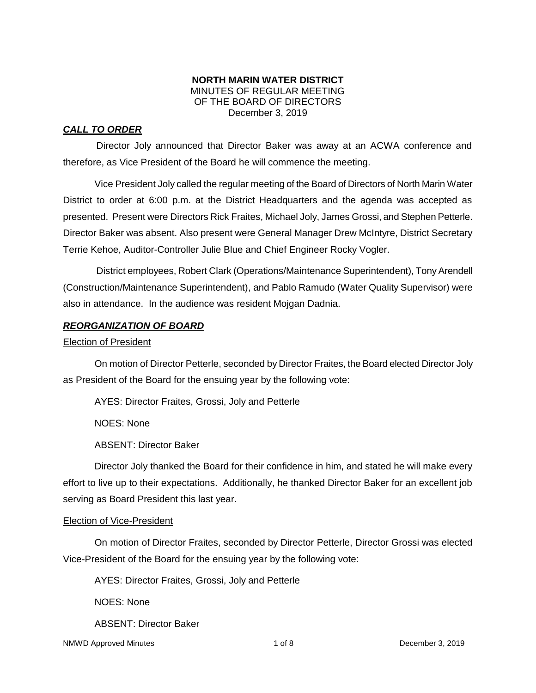#### **NORTH MARIN WATER DISTRICT** MINUTES OF REGULAR MEETING OF THE BOARD OF DIRECTORS December 3, 2019

## *CALL TO ORDER*

Director Joly announced that Director Baker was away at an ACWA conference and therefore, as Vice President of the Board he will commence the meeting.

Vice President Joly called the regular meeting of the Board of Directors of North Marin Water District to order at 6:00 p.m. at the District Headquarters and the agenda was accepted as presented. Present were Directors Rick Fraites, Michael Joly, James Grossi, and Stephen Petterle. Director Baker was absent. Also present were General Manager Drew McIntyre, District Secretary Terrie Kehoe, Auditor-Controller Julie Blue and Chief Engineer Rocky Vogler.

District employees, Robert Clark (Operations/Maintenance Superintendent), Tony Arendell (Construction/Maintenance Superintendent), and Pablo Ramudo (Water Quality Supervisor) were also in attendance. In the audience was resident Mojgan Dadnia.

## *REORGANIZATION OF BOARD*

#### Election of President

On motion of Director Petterle, seconded by Director Fraites, the Board elected Director Joly as President of the Board for the ensuing year by the following vote:

AYES: Director Fraites, Grossi, Joly and Petterle

NOES: None

ABSENT: Director Baker

Director Joly thanked the Board for their confidence in him, and stated he will make every effort to live up to their expectations. Additionally, he thanked Director Baker for an excellent job serving as Board President this last year.

#### Election of Vice-President

On motion of Director Fraites, seconded by Director Petterle, Director Grossi was elected Vice-President of the Board for the ensuing year by the following vote:

AYES: Director Fraites, Grossi, Joly and Petterle

NOES: None

ABSENT: Director Baker

NMWD Approved Minutes and the control of 8 and 1 of 8 December 3, 2019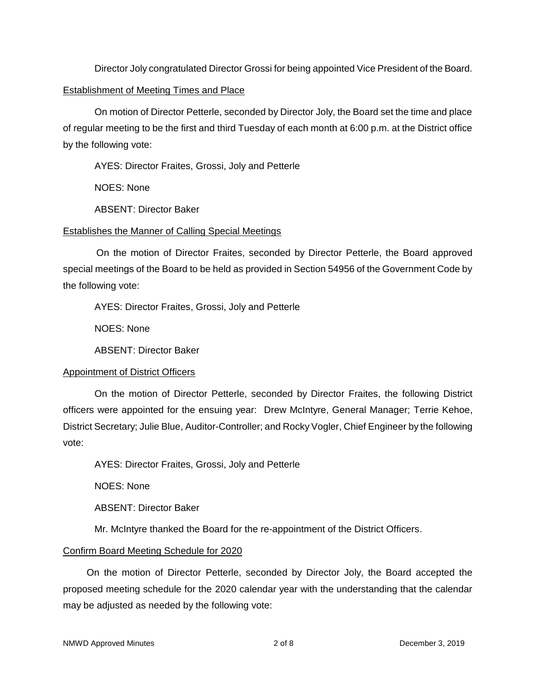Director Joly congratulated Director Grossi for being appointed Vice President of the Board.

#### Establishment of Meeting Times and Place

On motion of Director Petterle, seconded by Director Joly, the Board set the time and place of regular meeting to be the first and third Tuesday of each month at 6:00 p.m. at the District office by the following vote:

AYES: Director Fraites, Grossi, Joly and Petterle

NOES: None

ABSENT: Director Baker

## Establishes the Manner of Calling Special Meetings

On the motion of Director Fraites, seconded by Director Petterle, the Board approved special meetings of the Board to be held as provided in Section 54956 of the Government Code by the following vote:

AYES: Director Fraites, Grossi, Joly and Petterle

NOES: None

ABSENT: Director Baker

## Appointment of District Officers

On the motion of Director Petterle, seconded by Director Fraites, the following District officers were appointed for the ensuing year: Drew McIntyre, General Manager; Terrie Kehoe, District Secretary; Julie Blue, Auditor-Controller; and Rocky Vogler, Chief Engineer by the following vote:

AYES: Director Fraites, Grossi, Joly and Petterle

NOES: None

ABSENT: Director Baker

Mr. McIntyre thanked the Board for the re-appointment of the District Officers.

# Confirm Board Meeting Schedule for 2020

On the motion of Director Petterle, seconded by Director Joly, the Board accepted the proposed meeting schedule for the 2020 calendar year with the understanding that the calendar may be adjusted as needed by the following vote: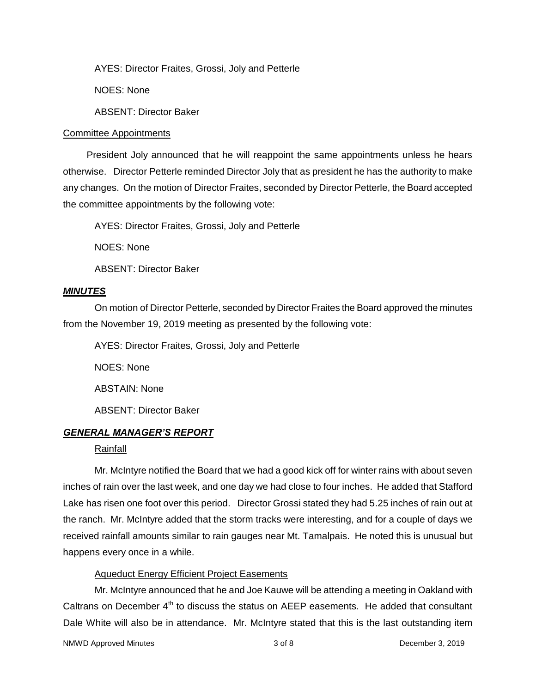AYES: Director Fraites, Grossi, Joly and Petterle

NOES: None

ABSENT: Director Baker

#### Committee Appointments

President Joly announced that he will reappoint the same appointments unless he hears otherwise. Director Petterle reminded Director Joly that as president he has the authority to make any changes. On the motion of Director Fraites, seconded by Director Petterle, the Board accepted the committee appointments by the following vote:

AYES: Director Fraites, Grossi, Joly and Petterle

NOES: None

ABSENT: Director Baker

#### *MINUTES*

On motion of Director Petterle, seconded by Director Fraites the Board approved the minutes from the November 19, 2019 meeting as presented by the following vote:

AYES: Director Fraites, Grossi, Joly and Petterle

NOES: None

ABSTAIN: None

ABSENT: Director Baker

#### *GENERAL MANAGER'S REPORT*

#### Rainfall

Mr. McIntyre notified the Board that we had a good kick off for winter rains with about seven inches of rain over the last week, and one day we had close to four inches. He added that Stafford Lake has risen one foot over this period. Director Grossi stated they had 5.25 inches of rain out at the ranch. Mr. McIntyre added that the storm tracks were interesting, and for a couple of days we received rainfall amounts similar to rain gauges near Mt. Tamalpais. He noted this is unusual but happens every once in a while.

#### Aqueduct Energy Efficient Project Easements

Mr. McIntyre announced that he and Joe Kauwe will be attending a meeting in Oakland with Caltrans on December  $4<sup>th</sup>$  to discuss the status on AEEP easements. He added that consultant Dale White will also be in attendance. Mr. McIntyre stated that this is the last outstanding item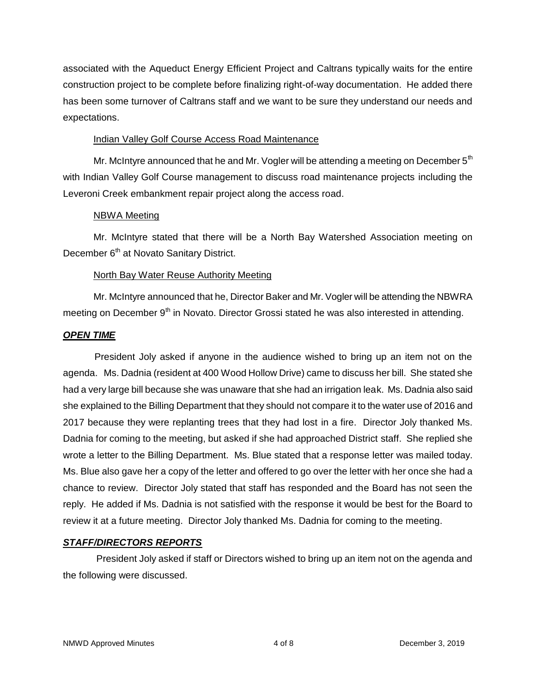associated with the Aqueduct Energy Efficient Project and Caltrans typically waits for the entire construction project to be complete before finalizing right-of-way documentation. He added there has been some turnover of Caltrans staff and we want to be sure they understand our needs and expectations.

#### **Indian Valley Golf Course Access Road Maintenance**

Mr. McIntyre announced that he and Mr. Vogler will be attending a meeting on December  $5<sup>th</sup>$ with Indian Valley Golf Course management to discuss road maintenance projects including the Leveroni Creek embankment repair project along the access road.

## NBWA Meeting

Mr. McIntyre stated that there will be a North Bay Watershed Association meeting on December 6<sup>th</sup> at Novato Sanitary District.

## North Bay Water Reuse Authority Meeting

Mr. McIntyre announced that he, Director Baker and Mr. Vogler will be attending the NBWRA meeting on December 9<sup>th</sup> in Novato. Director Grossi stated he was also interested in attending.

## *OPEN TIME*

President Joly asked if anyone in the audience wished to bring up an item not on the agenda. Ms. Dadnia (resident at 400 Wood Hollow Drive) came to discuss her bill. She stated she had a very large bill because she was unaware that she had an irrigation leak. Ms. Dadnia also said she explained to the Billing Department that they should not compare it to the water use of 2016 and 2017 because they were replanting trees that they had lost in a fire. Director Joly thanked Ms. Dadnia for coming to the meeting, but asked if she had approached District staff. She replied she wrote a letter to the Billing Department. Ms. Blue stated that a response letter was mailed today. Ms. Blue also gave her a copy of the letter and offered to go over the letter with her once she had a chance to review. Director Joly stated that staff has responded and the Board has not seen the reply. He added if Ms. Dadnia is not satisfied with the response it would be best for the Board to review it at a future meeting. Director Joly thanked Ms. Dadnia for coming to the meeting.

## *STAFF/DIRECTORS REPORTS*

President Joly asked if staff or Directors wished to bring up an item not on the agenda and the following were discussed.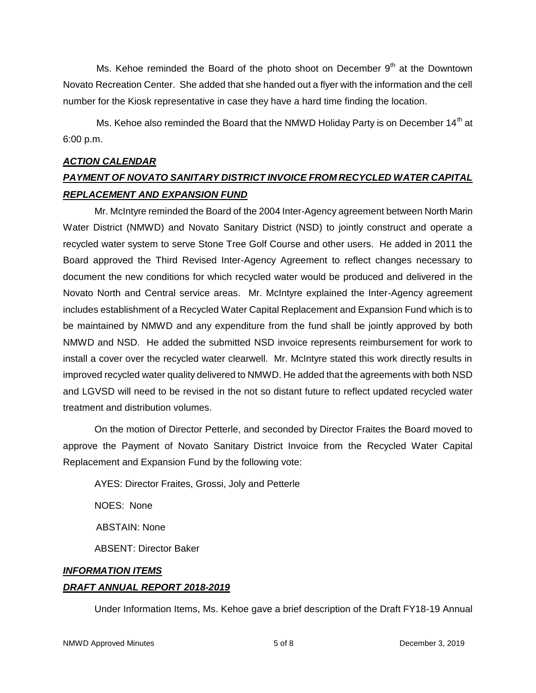Ms. Kehoe reminded the Board of the photo shoot on December  $9<sup>th</sup>$  at the Downtown Novato Recreation Center. She added that she handed out a flyer with the information and the cell number for the Kiosk representative in case they have a hard time finding the location.

Ms. Kehoe also reminded the Board that the NMWD Holidav Party is on December 14<sup>th</sup> at 6:00 p.m.

#### *ACTION CALENDAR*

# *PAYMENT OF NOVATO SANITARY DISTRICT INVOICE FROM RECYCLED WATER CAPITAL REPLACEMENT AND EXPANSION FUND*

Mr. McIntyre reminded the Board of the 2004 Inter-Agency agreement between North Marin Water District (NMWD) and Novato Sanitary District (NSD) to jointly construct and operate a recycled water system to serve Stone Tree Golf Course and other users. He added in 2011 the Board approved the Third Revised Inter-Agency Agreement to reflect changes necessary to document the new conditions for which recycled water would be produced and delivered in the Novato North and Central service areas. Mr. McIntyre explained the Inter-Agency agreement includes establishment of a Recycled Water Capital Replacement and Expansion Fund which is to be maintained by NMWD and any expenditure from the fund shall be jointly approved by both NMWD and NSD. He added the submitted NSD invoice represents reimbursement for work to install a cover over the recycled water clearwell. Mr. McIntyre stated this work directly results in improved recycled water quality delivered to NMWD. He added that the agreements with both NSD and LGVSD will need to be revised in the not so distant future to reflect updated recycled water treatment and distribution volumes.

On the motion of Director Petterle, and seconded by Director Fraites the Board moved to approve the Payment of Novato Sanitary District Invoice from the Recycled Water Capital Replacement and Expansion Fund by the following vote:

AYES: Director Fraites, Grossi, Joly and Petterle NOES: None ABSTAIN: None ABSENT: Director Baker

# *INFORMATION ITEMS DRAFT ANNUAL REPORT 2018-2019*

Under Information Items, Ms. Kehoe gave a brief description of the Draft FY18-19 Annual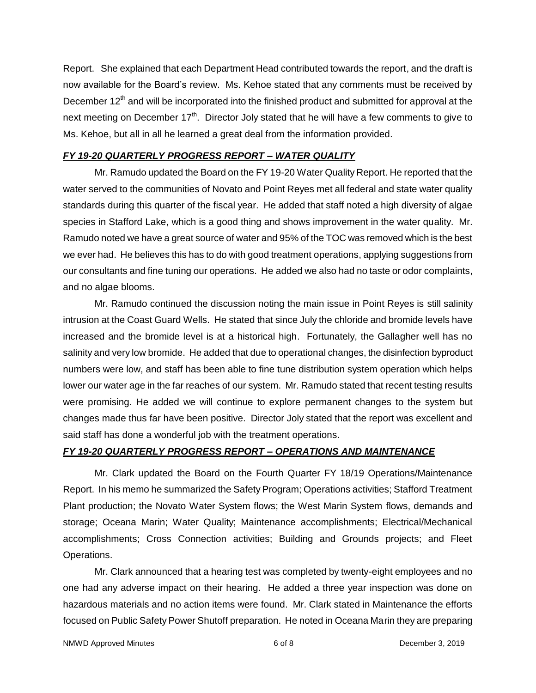Report. She explained that each Department Head contributed towards the report, and the draft is now available for the Board's review. Ms. Kehoe stated that any comments must be received by December 12<sup>th</sup> and will be incorporated into the finished product and submitted for approval at the next meeting on December 17<sup>th</sup>. Director Joly stated that he will have a few comments to give to Ms. Kehoe, but all in all he learned a great deal from the information provided.

#### *FY 19-20 QUARTERLY PROGRESS REPORT – WATER QUALITY*

Mr. Ramudo updated the Board on the FY 19-20 Water Quality Report. He reported that the water served to the communities of Novato and Point Reyes met all federal and state water quality standards during this quarter of the fiscal year. He added that staff noted a high diversity of algae species in Stafford Lake, which is a good thing and shows improvement in the water quality. Mr. Ramudo noted we have a great source of water and 95% of the TOC was removed which is the best we ever had. He believes this has to do with good treatment operations, applying suggestions from our consultants and fine tuning our operations. He added we also had no taste or odor complaints, and no algae blooms.

Mr. Ramudo continued the discussion noting the main issue in Point Reyes is still salinity intrusion at the Coast Guard Wells. He stated that since July the chloride and bromide levels have increased and the bromide level is at a historical high. Fortunately, the Gallagher well has no salinity and very low bromide. He added that due to operational changes, the disinfection byproduct numbers were low, and staff has been able to fine tune distribution system operation which helps lower our water age in the far reaches of our system. Mr. Ramudo stated that recent testing results were promising. He added we will continue to explore permanent changes to the system but changes made thus far have been positive. Director Joly stated that the report was excellent and said staff has done a wonderful job with the treatment operations.

#### *FY 19-20 QUARTERLY PROGRESS REPORT – OPERATIONS AND MAINTENANCE*

Mr. Clark updated the Board on the Fourth Quarter FY 18/19 Operations/Maintenance Report. In his memo he summarized the Safety Program; Operations activities; Stafford Treatment Plant production; the Novato Water System flows; the West Marin System flows, demands and storage; Oceana Marin; Water Quality; Maintenance accomplishments; Electrical/Mechanical accomplishments; Cross Connection activities; Building and Grounds projects; and Fleet Operations.

Mr. Clark announced that a hearing test was completed by twenty-eight employees and no one had any adverse impact on their hearing. He added a three year inspection was done on hazardous materials and no action items were found. Mr. Clark stated in Maintenance the efforts focused on Public Safety Power Shutoff preparation. He noted in Oceana Marin they are preparing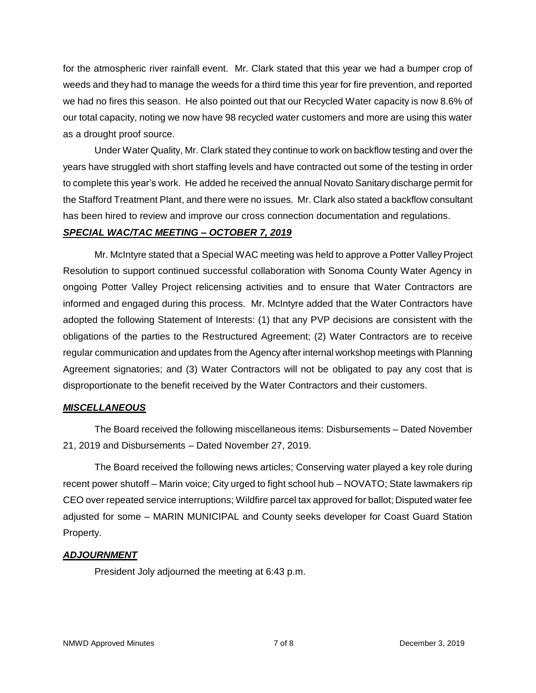for the atmospheric river rainfall event. Mr. Clark stated that this year we had a bumper crop of weeds and they had to manage the weeds for a third time this year for fire prevention, and reported we had no fires this season. He also pointed out that our Recycled Water capacity is now 8.6% of our total capacity, noting we now have 98 recycled water customers and more are using this water as a drought proof source.

Under Water Quality, Mr. Clark stated they continue to work on backflow testing and over the years have struggled with short staffing levels and have contracted out some of the testing in order to complete this year's work. He added he received the annual Novato Sanitary discharge permit for the Stafford Treatment Plant, and there were no issues. Mr. Clark also stated a backflow consultant has been hired to review and improve our cross connection documentation and regulations.

#### *SPECIAL WAC/TAC MEETING – OCTOBER 7, 2019*

Mr. McIntyre stated that a Special WAC meeting was held to approve a Potter Valley Project Resolution to support continued successful collaboration with Sonoma County Water Agency in ongoing Potter Valley Project relicensing activities and to ensure that Water Contractors are informed and engaged during this process. Mr. McIntyre added that the Water Contractors have adopted the following Statement of Interests: (1) that any PVP decisions are consistent with the obligations of the parties to the Restructured Agreement; (2) Water Contractors are to receive regular communication and updates from the Agency after internal workshop meetings with Planning Agreement signatories; and (3) Water Contractors will not be obligated to pay any cost that is disproportionate to the benefit received by the Water Contractors and their customers.

#### *MISCELLANEOUS*

The Board received the following miscellaneous items: Disbursements – Dated November 21, 2019 and Disbursements – Dated November 27, 2019.

The Board received the following news articles; Conserving water played a key role during recent power shutoff – Marin voice; City urged to fight school hub – NOVATO; State lawmakers rip CEO over repeated service interruptions; Wildfire parcel tax approved for ballot; Disputed water fee adjusted for some – MARIN MUNICIPAL and County seeks developer for Coast Guard Station Property.

#### *ADJOURNMENT*

President Joly adjourned the meeting at 6:43 p.m.